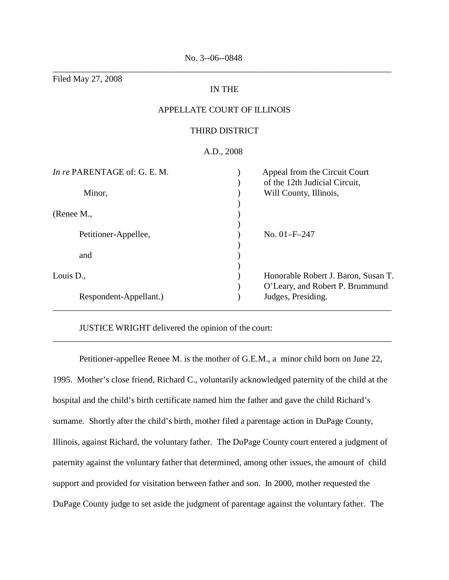Filed May 27, 2008

# IN THE

\_\_\_\_\_\_\_\_\_\_\_\_\_\_\_\_\_\_\_\_\_\_\_\_\_\_\_\_\_\_\_\_\_\_\_\_\_\_\_\_\_\_\_\_\_\_\_\_\_\_\_\_\_\_\_\_\_\_\_\_\_\_\_\_\_\_\_\_\_\_\_\_\_\_\_\_\_

# APPELLATE COURT OF ILLINOIS

## THIRD DISTRICT

### A.D., 2008

| In re PARENTAGE of: G. E. M. | Appeal from the Circuit Court<br>of the 12th Judicial Circuit, |
|------------------------------|----------------------------------------------------------------|
| Minor,                       | Will County, Illinois,                                         |
| (Renee M.,                   |                                                                |
| Petitioner-Appellee,         | No. 01-F-247                                                   |
| and                          |                                                                |
| Louis D.,                    | Honorable Robert J. Baron, Susan T.                            |
| Respondent-Appellant.)       | O'Leary, and Robert P. Brummund<br>Judges, Presiding.          |

JUSTICE WRIGHT delivered the opinion of the court:

Petitioner-appellee Renee M. is the mother of G.E.M., a minor child born on June 22, 1995. Mother's close friend, Richard C., voluntarily acknowledged paternity of the child at the hospital and the child's birth certificate named him the father and gave the child Richard's surname. Shortly after the child's birth, mother filed a parentage action in DuPage County, Illinois, against Richard, the voluntary father. The DuPage County court entered a judgment of paternity against the voluntary father that determined, among other issues, the amount of child support and provided for visitation between father and son. In 2000, mother requested the DuPage County judge to set aside the judgment of parentage against the voluntary father. The

\_\_\_\_\_\_\_\_\_\_\_\_\_\_\_\_\_\_\_\_\_\_\_\_\_\_\_\_\_\_\_\_\_\_\_\_\_\_\_\_\_\_\_\_\_\_\_\_\_\_\_\_\_\_\_\_\_\_\_\_\_\_\_\_\_\_\_\_\_\_\_\_\_\_\_\_\_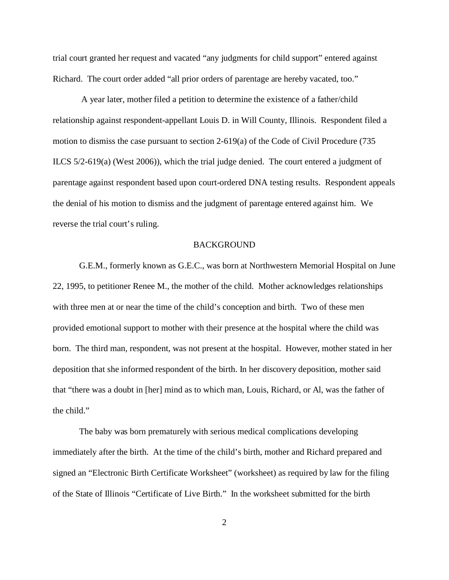trial court granted her request and vacated "any judgments for child support" entered against Richard. The court order added "all prior orders of parentage are hereby vacated, too."

 A year later, mother filed a petition to determine the existence of a father/child relationship against respondent-appellant Louis D. in Will County, Illinois. Respondent filed a motion to dismiss the case pursuant to section 2-619(a) of the Code of Civil Procedure (735 ILCS 5/2-619(a) (West 2006)), which the trial judge denied. The court entered a judgment of parentage against respondent based upon court-ordered DNA testing results. Respondent appeals the denial of his motion to dismiss and the judgment of parentage entered against him. We reverse the trial court's ruling.

#### BACKGROUND

G.E.M., formerly known as G.E.C., was born at Northwestern Memorial Hospital on June 22, 1995, to petitioner Renee M., the mother of the child. Mother acknowledges relationships with three men at or near the time of the child's conception and birth. Two of these men provided emotional support to mother with their presence at the hospital where the child was born. The third man, respondent, was not present at the hospital. However, mother stated in her deposition that she informed respondent of the birth. In her discovery deposition, mother said that "there was a doubt in [her] mind as to which man, Louis, Richard, or Al, was the father of the child."

The baby was born prematurely with serious medical complications developing immediately after the birth. At the time of the child's birth, mother and Richard prepared and signed an "Electronic Birth Certificate Worksheet" (worksheet) as required by law for the filing of the State of Illinois "Certificate of Live Birth." In the worksheet submitted for the birth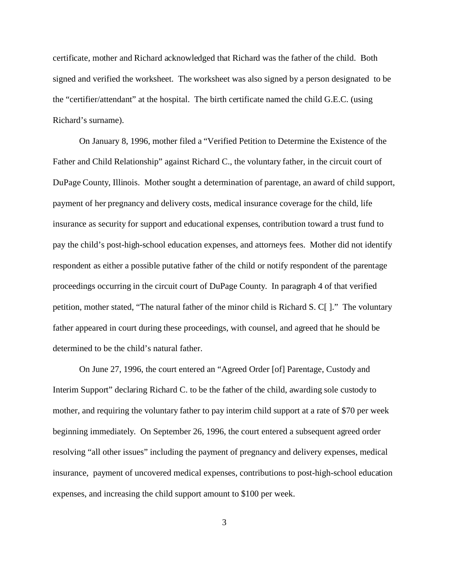certificate, mother and Richard acknowledged that Richard was the father of the child. Both signed and verified the worksheet. The worksheet was also signed by a person designated to be the "certifier/attendant" at the hospital. The birth certificate named the child G.E.C. (using Richard's surname).

On January 8, 1996, mother filed a "Verified Petition to Determine the Existence of the Father and Child Relationship" against Richard C., the voluntary father, in the circuit court of DuPage County, Illinois. Mother sought a determination of parentage, an award of child support, payment of her pregnancy and delivery costs, medical insurance coverage for the child, life insurance as security for support and educational expenses, contribution toward a trust fund to pay the child's post-high-school education expenses, and attorneys fees. Mother did not identify respondent as either a possible putative father of the child or notify respondent of the parentage proceedings occurring in the circuit court of DuPage County. In paragraph 4 of that verified petition, mother stated, "The natural father of the minor child is Richard S. C[ ]." The voluntary father appeared in court during these proceedings, with counsel, and agreed that he should be determined to be the child's natural father.

On June 27, 1996, the court entered an "Agreed Order [of] Parentage, Custody and Interim Support" declaring Richard C. to be the father of the child, awarding sole custody to mother, and requiring the voluntary father to pay interim child support at a rate of \$70 per week beginning immediately. On September 26, 1996, the court entered a subsequent agreed order resolving "all other issues" including the payment of pregnancy and delivery expenses, medical insurance, payment of uncovered medical expenses, contributions to post-high-school education expenses, and increasing the child support amount to \$100 per week.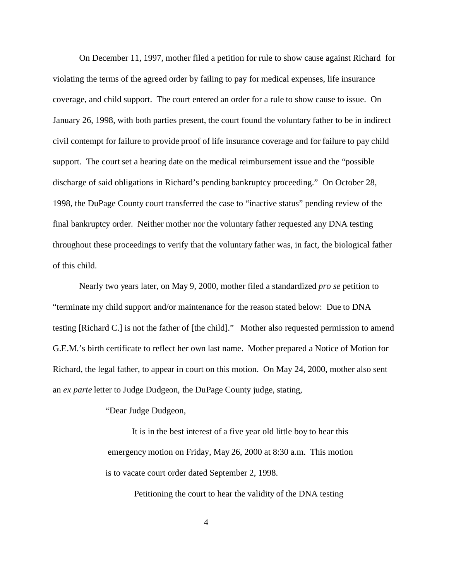On December 11, 1997, mother filed a petition for rule to show cause against Richard for violating the terms of the agreed order by failing to pay for medical expenses, life insurance coverage, and child support. The court entered an order for a rule to show cause to issue. On January 26, 1998, with both parties present, the court found the voluntary father to be in indirect civil contempt for failure to provide proof of life insurance coverage and for failure to pay child support. The court set a hearing date on the medical reimbursement issue and the "possible discharge of said obligations in Richard's pending bankruptcy proceeding." On October 28, 1998, the DuPage County court transferred the case to "inactive status" pending review of the final bankruptcy order. Neither mother nor the voluntary father requested any DNA testing throughout these proceedings to verify that the voluntary father was, in fact, the biological father of this child.

Nearly two years later, on May 9, 2000, mother filed a standardized *pro se* petition to "terminate my child support and/or maintenance for the reason stated below: Due to DNA testing [Richard C.] is not the father of [the child]." Mother also requested permission to amend G.E.M.'s birth certificate to reflect her own last name. Mother prepared a Notice of Motion for Richard, the legal father, to appear in court on this motion. On May 24, 2000, mother also sent an *ex parte* letter to Judge Dudgeon, the DuPage County judge, stating,

"Dear Judge Dudgeon,

 It is in the best interest of a five year old little boy to hear this emergency motion on Friday, May 26, 2000 at 8:30 a.m. This motion is to vacate court order dated September 2, 1998.

Petitioning the court to hear the validity of the DNA testing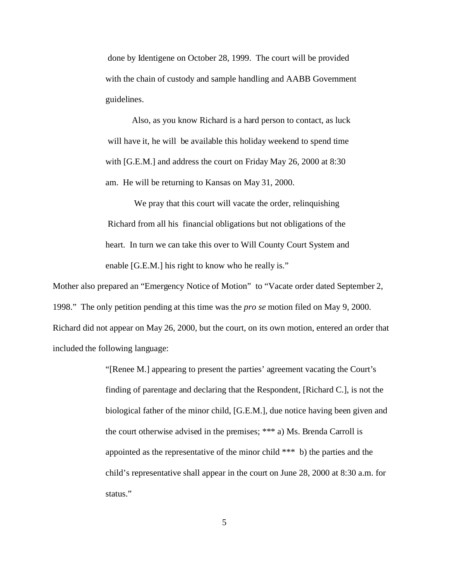done by Identigene on October 28, 1999. The court will be provided with the chain of custody and sample handling and AABB Government guidelines.

 Also, as you know Richard is a hard person to contact, as luck will have it, he will be available this holiday weekend to spend time with [G.E.M.] and address the court on Friday May 26, 2000 at 8:30 am. He will be returning to Kansas on May 31, 2000.

We pray that this court will vacate the order, relinquishing Richard from all his financial obligations but not obligations of the heart. In turn we can take this over to Will County Court System and enable [G.E.M.] his right to know who he really is."

Mother also prepared an "Emergency Notice of Motion" to "Vacate order dated September 2, 1998." The only petition pending at this time was the *pro se* motion filed on May 9, 2000. Richard did not appear on May 26, 2000, but the court, on its own motion, entered an order that included the following language:

> "[Renee M.] appearing to present the parties' agreement vacating the Court's finding of parentage and declaring that the Respondent, [Richard C.], is not the biological father of the minor child, [G.E.M.], due notice having been given and the court otherwise advised in the premises; \*\*\* a) Ms. Brenda Carroll is appointed as the representative of the minor child \*\*\* b) the parties and the child's representative shall appear in the court on June 28, 2000 at 8:30 a.m. for status."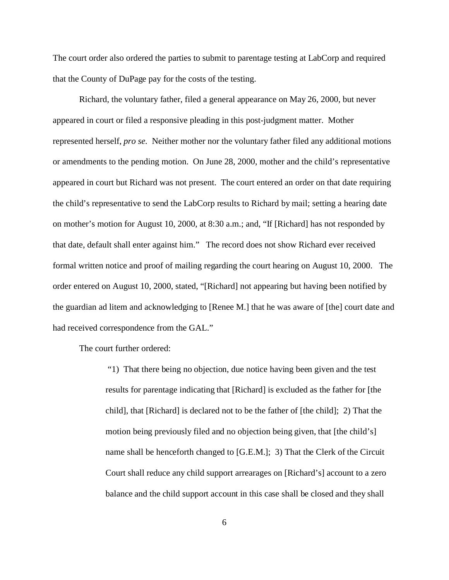The court order also ordered the parties to submit to parentage testing at LabCorp and required that the County of DuPage pay for the costs of the testing.

Richard, the voluntary father, filed a general appearance on May 26, 2000, but never appeared in court or filed a responsive pleading in this post-judgment matter. Mother represented herself, *pro se.* Neither mother nor the voluntary father filed any additional motions or amendments to the pending motion. On June 28, 2000, mother and the child's representative appeared in court but Richard was not present. The court entered an order on that date requiring the child's representative to send the LabCorp results to Richard by mail; setting a hearing date on mother's motion for August 10, 2000, at 8:30 a.m.; and, "If [Richard] has not responded by that date, default shall enter against him." The record does not show Richard ever received formal written notice and proof of mailing regarding the court hearing on August 10, 2000. The order entered on August 10, 2000, stated, "[Richard] not appearing but having been notified by the guardian ad litem and acknowledging to [Renee M.] that he was aware of [the] court date and had received correspondence from the GAL."

The court further ordered:

 "1) That there being no objection, due notice having been given and the test results for parentage indicating that [Richard] is excluded as the father for [the child], that [Richard] is declared not to be the father of [the child]; 2) That the motion being previously filed and no objection being given, that [the child's] name shall be henceforth changed to [G.E.M.]; 3) That the Clerk of the Circuit Court shall reduce any child support arrearages on [Richard's] account to a zero balance and the child support account in this case shall be closed and they shall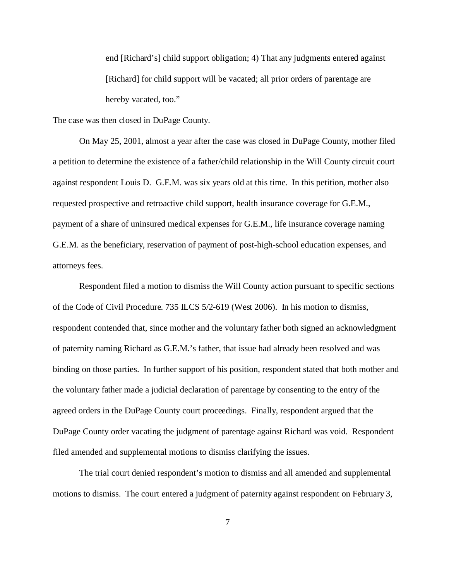end [Richard's] child support obligation; 4) That any judgments entered against [Richard] for child support will be vacated; all prior orders of parentage are hereby vacated, too."

The case was then closed in DuPage County.

On May 25, 2001, almost a year after the case was closed in DuPage County, mother filed a petition to determine the existence of a father/child relationship in the Will County circuit court against respondent Louis D. G.E.M. was six years old at this time. In this petition, mother also requested prospective and retroactive child support, health insurance coverage for G.E.M., payment of a share of uninsured medical expenses for G.E.M., life insurance coverage naming G.E.M. as the beneficiary, reservation of payment of post-high-school education expenses, and attorneys fees.

Respondent filed a motion to dismiss the Will County action pursuant to specific sections of the Code of Civil Procedure. 735 ILCS 5/2-619 (West 2006). In his motion to dismiss, respondent contended that, since mother and the voluntary father both signed an acknowledgment of paternity naming Richard as G.E.M.'s father, that issue had already been resolved and was binding on those parties. In further support of his position, respondent stated that both mother and the voluntary father made a judicial declaration of parentage by consenting to the entry of the agreed orders in the DuPage County court proceedings. Finally, respondent argued that the DuPage County order vacating the judgment of parentage against Richard was void. Respondent filed amended and supplemental motions to dismiss clarifying the issues.

The trial court denied respondent's motion to dismiss and all amended and supplemental motions to dismiss. The court entered a judgment of paternity against respondent on February 3,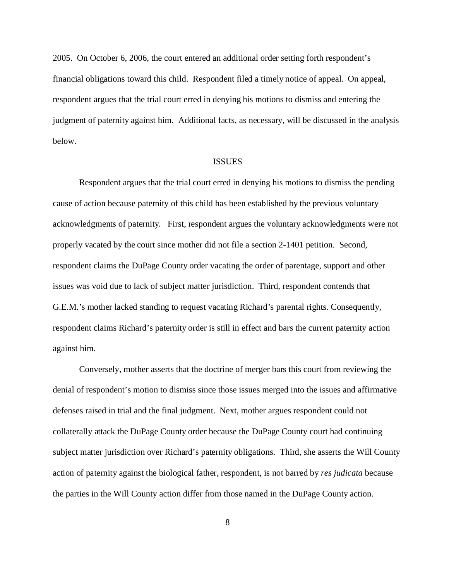2005. On October 6, 2006, the court entered an additional order setting forth respondent's financial obligations toward this child. Respondent filed a timely notice of appeal. On appeal, respondent argues that the trial court erred in denying his motions to dismiss and entering the judgment of paternity against him. Additional facts, as necessary, will be discussed in the analysis below.

#### ISSUES

Respondent argues that the trial court erred in denying his motions to dismiss the pending cause of action because paternity of this child has been established by the previous voluntary acknowledgments of paternity. First, respondent argues the voluntary acknowledgments were not properly vacated by the court since mother did not file a section 2-1401 petition. Second, respondent claims the DuPage County order vacating the order of parentage, support and other issues was void due to lack of subject matter jurisdiction. Third, respondent contends that G.E.M.'s mother lacked standing to request vacating Richard's parental rights. Consequently, respondent claims Richard's paternity order is still in effect and bars the current paternity action against him.

Conversely, mother asserts that the doctrine of merger bars this court from reviewing the denial of respondent's motion to dismiss since those issues merged into the issues and affirmative defenses raised in trial and the final judgment. Next, mother argues respondent could not collaterally attack the DuPage County order because the DuPage County court had continuing subject matter jurisdiction over Richard's paternity obligations. Third, she asserts the Will County action of paternity against the biological father, respondent, is not barred by *res judicata* because the parties in the Will County action differ from those named in the DuPage County action.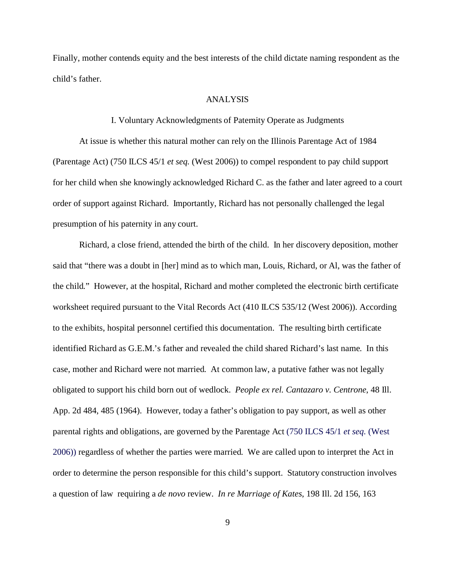Finally, mother contends equity and the best interests of the child dictate naming respondent as the child's father.

#### ANALYSIS

#### I. Voluntary Acknowledgments of Paternity Operate as Judgments

At issue is whether this natural mother can rely on the Illinois Parentage Act of 1984 (Parentage Act) (750 ILCS 45/1 *et seq.* (West 2006)) to compel respondent to pay child support for her child when she knowingly acknowledged Richard C. as the father and later agreed to a court order of support against Richard. Importantly, Richard has not personally challenged the legal presumption of his paternity in any court.

Richard, a close friend, attended the birth of the child. In her discovery deposition, mother said that "there was a doubt in [her] mind as to which man, Louis, Richard, or Al, was the father of the child." However, at the hospital, Richard and mother completed the electronic birth certificate worksheet required pursuant to the Vital Records Act (410 ILCS 535/12 (West 2006)). According to the exhibits, hospital personnel certified this documentation. The resulting birth certificate identified Richard as G.E.M.'s father and revealed the child shared Richard's last name. In this case, mother and Richard were not married. At common law, a putative father was not legally obligated to support his child born out of wedlock. *People ex rel. Cantazaro v. Centrone*, 48 Ill. App. 2d 484, 485 (1964). However, today a father's obligation to pay support, as well as other parental rights and obligations, are governed by the Parentage Act (750 ILCS 45/1 *et seq.* (West 2006)) regardless of whether the parties were married. We are called upon to interpret the Act in order to determine the person responsible for this child's support. Statutory construction involves a question of law requiring a *de novo* review. *In re Marriage of Kates*, 198 Ill. 2d 156, 163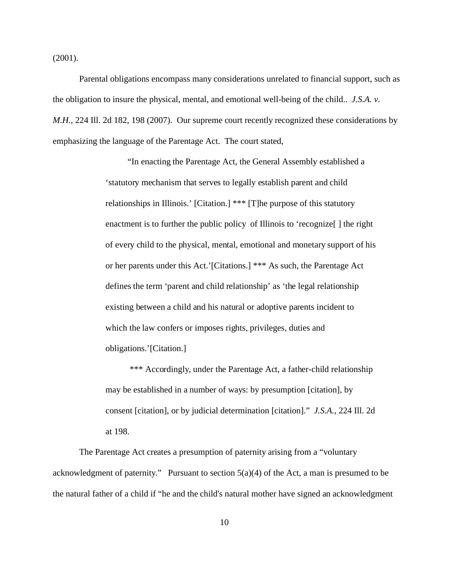(2001).

Parental obligations encompass many considerations unrelated to financial support, such as the obligation to insure the physical, mental, and emotional well-being of the child.. *J.S.A. v. M.H.*, 224 Ill. 2d 182, 198 (2007). Our supreme court recently recognized these considerations by emphasizing the language of the Parentage Act. The court stated,

> "In enacting the Parentage Act, the General Assembly established a 'statutory mechanism that serves to legally establish parent and child relationships in Illinois.' [Citation.] \*\*\* [T]he purpose of this statutory enactment is to further the public policy of Illinois to 'recognize[ ] the right of every child to the physical, mental, emotional and monetary support of his or her parents under this Act.'[Citations.] \*\*\* As such, the Parentage Act defines the term 'parent and child relationship' as 'the legal relationship existing between a child and his natural or adoptive parents incident to which the law confers or imposes rights, privileges, duties and obligations.'[Citation.]

> \*\*\* Accordingly, under the Parentage Act, a father-child relationship may be established in a number of ways: by presumption [citation], by consent [citation], or by judicial determination [citation]." *J.S.A.*, 224 Ill. 2d at 198.

The Parentage Act creates a presumption of paternity arising from a "voluntary acknowledgment of paternity." Pursuant to section 5(a)(4) of the Act, a man is presumed to be the natural father of a child if "he and the child's natural mother have signed an acknowledgment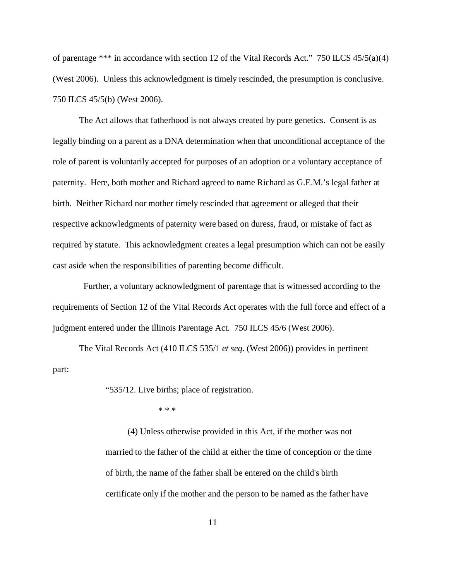of parentage \*\*\* in accordance with section 12 of the Vital Records Act." 750 ILCS  $45/5(a)(4)$ (West 2006). Unless this acknowledgment is timely rescinded, the presumption is conclusive. 750 ILCS 45/5(b) (West 2006).

The Act allows that fatherhood is not always created by pure genetics. Consent is as legally binding on a parent as a DNA determination when that unconditional acceptance of the role of parent is voluntarily accepted for purposes of an adoption or a voluntary acceptance of paternity. Here, both mother and Richard agreed to name Richard as G.E.M.'s legal father at birth. Neither Richard nor mother timely rescinded that agreement or alleged that their respective acknowledgments of paternity were based on duress, fraud, or mistake of fact as required by statute. This acknowledgment creates a legal presumption which can not be easily cast aside when the responsibilities of parenting become difficult.

 Further, a voluntary acknowledgment of parentage that is witnessed according to the requirements of Section 12 of the Vital Records Act operates with the full force and effect of a judgment entered under the Illinois Parentage Act. 750 ILCS 45/6 (West 2006).

The Vital Records Act (410 ILCS 535/1 *et seq*. (West 2006)) provides in pertinent part:

"535/12. Live births; place of registration.

\* \* \*

 (4) Unless otherwise provided in this Act, if the mother was not married to the father of the child at either the time of conception or the time of birth, the name of the father shall be entered on the child's birth certificate only if the mother and the person to be named as the father have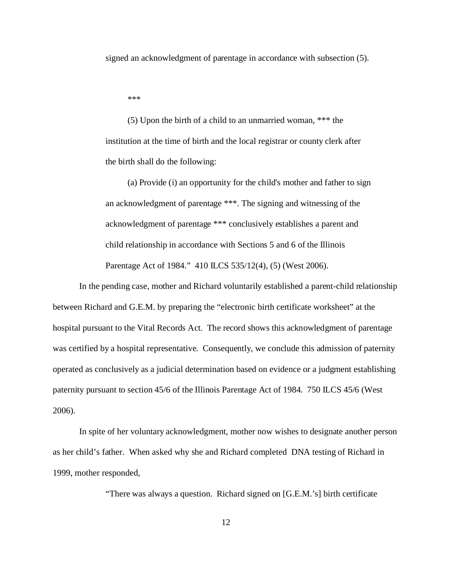signed an acknowledgment of parentage in accordance with subsection (5).

\*\*\*

 (5) Upon the birth of a child to an unmarried woman, \*\*\* the institution at the time of birth and the local registrar or county clerk after the birth shall do the following:

 (a) Provide (i) an opportunity for the child's mother and father to sign an acknowledgment of parentage \*\*\*. The signing and witnessing of the acknowledgment of parentage \*\*\* conclusively establishes a parent and child relationship in accordance with Sections 5 and 6 of the Illinois Parentage Act of 1984." 410 ILCS 535/12(4), (5) (West 2006).

In the pending case, mother and Richard voluntarily established a parent-child relationship between Richard and G.E.M. by preparing the "electronic birth certificate worksheet" at the hospital pursuant to the Vital Records Act. The record shows this acknowledgment of parentage was certified by a hospital representative. Consequently, we conclude this admission of paternity operated as conclusively as a judicial determination based on evidence or a judgment establishing paternity pursuant to section 45/6 of the Illinois Parentage Act of 1984. 750 ILCS 45/6 (West 2006).

In spite of her voluntary acknowledgment, mother now wishes to designate another person as her child's father. When asked why she and Richard completed DNA testing of Richard in 1999, mother responded,

"There was always a question. Richard signed on [G.E.M.'s] birth certificate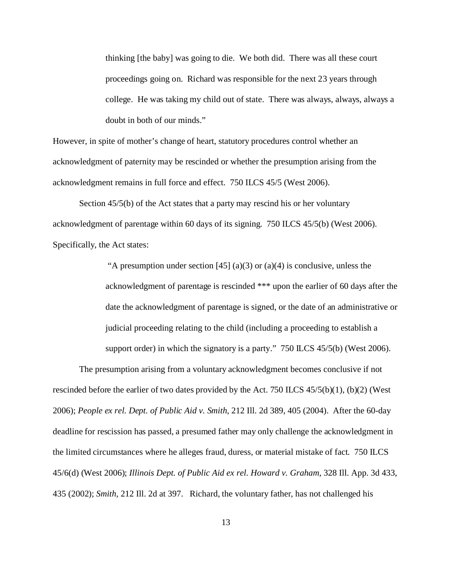thinking [the baby] was going to die. We both did. There was all these court proceedings going on. Richard was responsible for the next 23 years through college. He was taking my child out of state. There was always, always, always a doubt in both of our minds."

However, in spite of mother's change of heart, statutory procedures control whether an acknowledgment of paternity may be rescinded or whether the presumption arising from the acknowledgment remains in full force and effect. 750 ILCS 45/5 (West 2006).

Section 45/5(b) of the Act states that a party may rescind his or her voluntary acknowledgment of parentage within 60 days of its signing. 750 ILCS 45/5(b) (West 2006). Specifically, the Act states:

> "A presumption under section [45] (a)(3) or (a)(4) is conclusive, unless the acknowledgment of parentage is rescinded \*\*\* upon the earlier of 60 days after the date the acknowledgment of parentage is signed, or the date of an administrative or judicial proceeding relating to the child (including a proceeding to establish a support order) in which the signatory is a party." 750 ILCS 45/5(b) (West 2006).

The presumption arising from a voluntary acknowledgment becomes conclusive if not rescinded before the earlier of two dates provided by the Act. 750 ILCS  $45/5(b)(1)$ , (b)(2) (West 2006); *People ex rel. Dept. of Public Aid v. Smith*, 212 Ill. 2d 389, 405 (2004). After the 60-day deadline for rescission has passed, a presumed father may only challenge the acknowledgment in the limited circumstances where he alleges fraud, duress, or material mistake of fact. 750 ILCS 45/6(d) (West 2006); *Illinois Dept. of Public Aid ex rel. Howard v. Graham*, 328 Ill. App. 3d 433, 435 (2002); *Smith,* 212 Ill. 2d at 397. Richard, the voluntary father, has not challenged his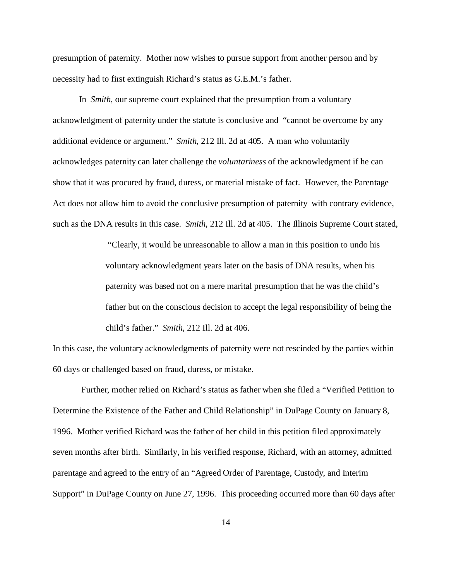presumption of paternity. Mother now wishes to pursue support from another person and by necessity had to first extinguish Richard's status as G.E.M.'s father.

In *Smith*, our supreme court explained that the presumption from a voluntary acknowledgment of paternity under the statute is conclusive and "cannot be overcome by any additional evidence or argument." *Smith*, 212 Ill. 2d at 405. A man who voluntarily acknowledges paternity can later challenge the *voluntariness* of the acknowledgment if he can show that it was procured by fraud, duress, or material mistake of fact. However, the Parentage Act does not allow him to avoid the conclusive presumption of paternity with contrary evidence, such as the DNA results in this case. *Smith*, 212 Ill. 2d at 405. The Illinois Supreme Court stated,

> "Clearly, it would be unreasonable to allow a man in this position to undo his voluntary acknowledgment years later on the basis of DNA results, when his paternity was based not on a mere marital presumption that he was the child's father but on the conscious decision to accept the legal responsibility of being the child's father." *Smith*, 212 Ill. 2d at 406.

In this case, the voluntary acknowledgments of paternity were not rescinded by the parties within 60 days or challenged based on fraud, duress, or mistake.

 Further, mother relied on Richard's status as father when she filed a "Verified Petition to Determine the Existence of the Father and Child Relationship" in DuPage County on January 8, 1996. Mother verified Richard was the father of her child in this petition filed approximately seven months after birth. Similarly, in his verified response, Richard, with an attorney, admitted parentage and agreed to the entry of an "Agreed Order of Parentage, Custody, and Interim Support" in DuPage County on June 27, 1996. This proceeding occurred more than 60 days after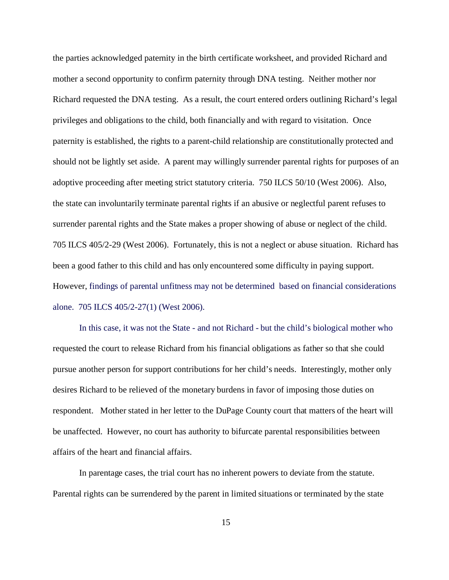the parties acknowledged paternity in the birth certificate worksheet, and provided Richard and mother a second opportunity to confirm paternity through DNA testing. Neither mother nor Richard requested the DNA testing. As a result, the court entered orders outlining Richard's legal privileges and obligations to the child, both financially and with regard to visitation. Once paternity is established, the rights to a parent-child relationship are constitutionally protected and should not be lightly set aside. A parent may willingly surrender parental rights for purposes of an adoptive proceeding after meeting strict statutory criteria. 750 ILCS 50/10 (West 2006). Also, the state can involuntarily terminate parental rights if an abusive or neglectful parent refuses to surrender parental rights and the State makes a proper showing of abuse or neglect of the child. 705 ILCS 405/2-29 (West 2006). Fortunately, this is not a neglect or abuse situation. Richard has been a good father to this child and has only encountered some difficulty in paying support. However, findings of parental unfitness may not be determined based on financial considerations alone. 705 ILCS 405/2-27(1) (West 2006).

In this case, it was not the State - and not Richard - but the child's biological mother who requested the court to release Richard from his financial obligations as father so that she could pursue another person for support contributions for her child's needs. Interestingly, mother only desires Richard to be relieved of the monetary burdens in favor of imposing those duties on respondent. Mother stated in her letter to the DuPage County court that matters of the heart will be unaffected. However, no court has authority to bifurcate parental responsibilities between affairs of the heart and financial affairs.

In parentage cases, the trial court has no inherent powers to deviate from the statute. Parental rights can be surrendered by the parent in limited situations or terminated by the state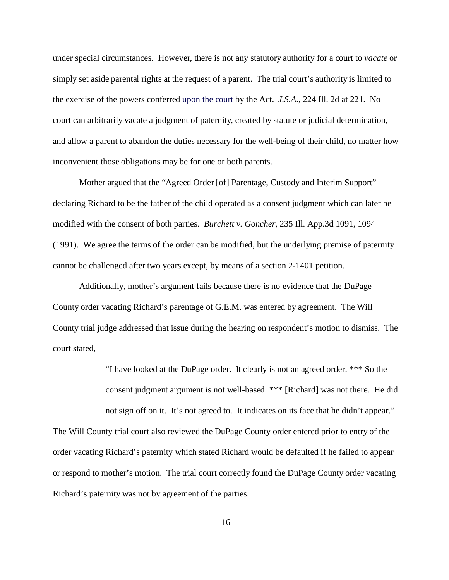under special circumstances. However, there is not any statutory authority for a court to *vacate* or simply set aside parental rights at the request of a parent. The trial court's authority is limited to the exercise of the powers conferred upon the court by the Act. *J.S.A*., 224 Ill. 2d at 221. No court can arbitrarily vacate a judgment of paternity, created by statute or judicial determination, and allow a parent to abandon the duties necessary for the well-being of their child, no matter how inconvenient those obligations may be for one or both parents.

Mother argued that the "Agreed Order [of] Parentage, Custody and Interim Support" declaring Richard to be the father of the child operated as a consent judgment which can later be modified with the consent of both parties. *Burchett v. Goncher*, 235 Ill. App.3d 1091, 1094 (1991). We agree the terms of the order can be modified, but the underlying premise of paternity cannot be challenged after two years except, by means of a section 2-1401 petition.

Additionally, mother's argument fails because there is no evidence that the DuPage County order vacating Richard's parentage of G.E.M. was entered by agreement. The Will County trial judge addressed that issue during the hearing on respondent's motion to dismiss. The court stated,

> "I have looked at the DuPage order. It clearly is not an agreed order. \*\*\* So the consent judgment argument is not well-based. \*\*\* [Richard] was not there. He did not sign off on it. It's not agreed to. It indicates on its face that he didn't appear."

The Will County trial court also reviewed the DuPage County order entered prior to entry of the order vacating Richard's paternity which stated Richard would be defaulted if he failed to appear or respond to mother's motion. The trial court correctly found the DuPage County order vacating Richard's paternity was not by agreement of the parties.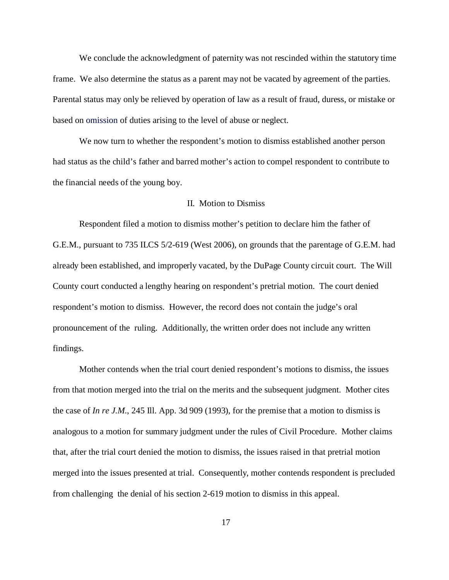We conclude the acknowledgment of paternity was not rescinded within the statutory time frame. We also determine the status as a parent may not be vacated by agreement of the parties. Parental status may only be relieved by operation of law as a result of fraud, duress, or mistake or based on omission of duties arising to the level of abuse or neglect.

We now turn to whether the respondent's motion to dismiss established another person had status as the child's father and barred mother's action to compel respondent to contribute to the financial needs of the young boy.

### II. Motion to Dismiss

Respondent filed a motion to dismiss mother's petition to declare him the father of G.E.M., pursuant to 735 ILCS 5/2-619 (West 2006), on grounds that the parentage of G.E.M. had already been established, and improperly vacated, by the DuPage County circuit court. The Will County court conducted a lengthy hearing on respondent's pretrial motion. The court denied respondent's motion to dismiss. However, the record does not contain the judge's oral pronouncement of the ruling. Additionally, the written order does not include any written findings.

Mother contends when the trial court denied respondent's motions to dismiss, the issues from that motion merged into the trial on the merits and the subsequent judgment. Mother cites the case of *In re J.M.*, 245 Ill. App. 3d 909 (1993), for the premise that a motion to dismiss is analogous to a motion for summary judgment under the rules of Civil Procedure. Mother claims that, after the trial court denied the motion to dismiss, the issues raised in that pretrial motion merged into the issues presented at trial. Consequently, mother contends respondent is precluded from challenging the denial of his section 2-619 motion to dismiss in this appeal.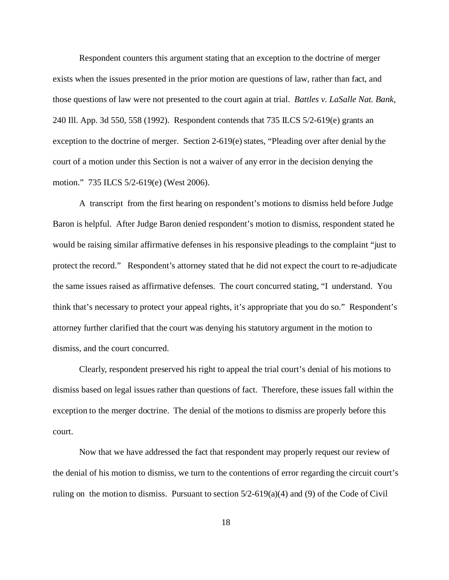Respondent counters this argument stating that an exception to the doctrine of merger exists when the issues presented in the prior motion are questions of law, rather than fact, and those questions of law were not presented to the court again at trial. *Battles v. LaSalle Nat. Bank*, 240 Ill. App. 3d 550, 558 (1992). Respondent contends that 735 ILCS 5/2-619(e) grants an exception to the doctrine of merger. Section 2-619(e) states, "Pleading over after denial by the court of a motion under this Section is not a waiver of any error in the decision denying the motion." 735 ILCS 5/2-619(e) (West 2006).

A transcript from the first hearing on respondent's motions to dismiss held before Judge Baron is helpful. After Judge Baron denied respondent's motion to dismiss, respondent stated he would be raising similar affirmative defenses in his responsive pleadings to the complaint "just to protect the record." Respondent's attorney stated that he did not expect the court to re-adjudicate the same issues raised as affirmative defenses. The court concurred stating, "I understand. You think that's necessary to protect your appeal rights, it's appropriate that you do so." Respondent's attorney further clarified that the court was denying his statutory argument in the motion to dismiss, and the court concurred.

Clearly, respondent preserved his right to appeal the trial court's denial of his motions to dismiss based on legal issues rather than questions of fact. Therefore, these issues fall within the exception to the merger doctrine. The denial of the motions to dismiss are properly before this court.

Now that we have addressed the fact that respondent may properly request our review of the denial of his motion to dismiss, we turn to the contentions of error regarding the circuit court's ruling on the motion to dismiss. Pursuant to section 5/2-619(a)(4) and (9) of the Code of Civil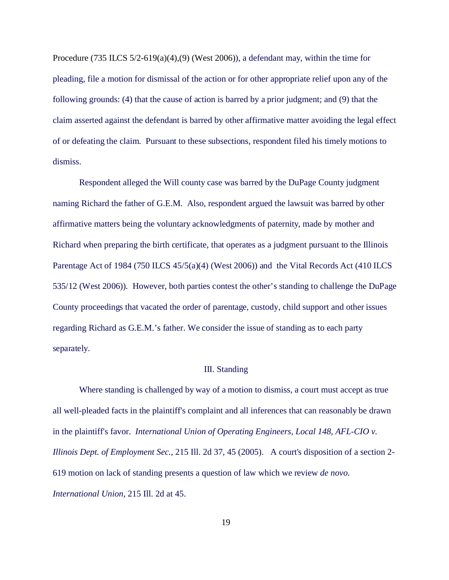Procedure (735 ILCS 5/2-619(a)(4),(9) (West 2006)), a defendant may, within the time for pleading, file a motion for dismissal of the action or for other appropriate relief upon any of the following grounds: (4) that the cause of action is barred by a prior judgment; and (9) that the claim asserted against the defendant is barred by other affirmative matter avoiding the legal effect of or defeating the claim. Pursuant to these subsections, respondent filed his timely motions to dismiss.

Respondent alleged the Will county case was barred by the DuPage County judgment naming Richard the father of G.E.M. Also, respondent argued the lawsuit was barred by other affirmative matters being the voluntary acknowledgments of paternity, made by mother and Richard when preparing the birth certificate, that operates as a judgment pursuant to the Illinois Parentage Act of 1984 (750 ILCS 45/5(a)(4) (West 2006)) and the Vital Records Act (410 ILCS 535/12 (West 2006)). However, both parties contest the other's standing to challenge the DuPage County proceedings that vacated the order of parentage, custody, child support and other issues regarding Richard as G.E.M.'s father. We consider the issue of standing as to each party separately.

#### III. Standing

Where standing is challenged by way of a motion to dismiss, a court must accept as true all well-pleaded facts in the plaintiff's complaint and all inferences that can reasonably be drawn in the plaintiff's favor. *International Union of Operating Engineers, Local 148, AFL-CIO v. Illinois Dept. of Employment Sec.*, 215 Ill. 2d 37, 45 (2005). A court's disposition of a section 2- 619 motion on lack of standing presents a question of law which we review *de novo*. *International Union*, 215 Ill. 2d at 45.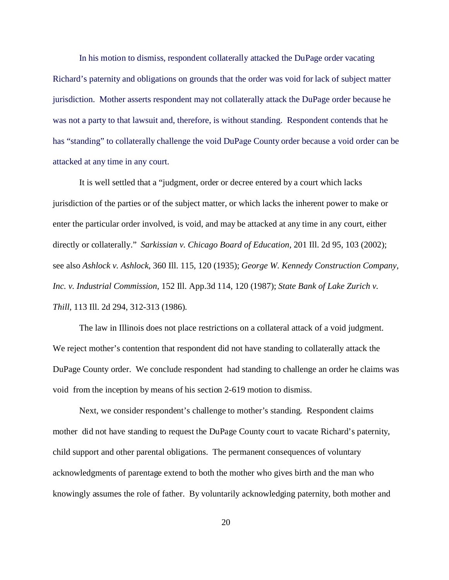In his motion to dismiss, respondent collaterally attacked the DuPage order vacating Richard's paternity and obligations on grounds that the order was void for lack of subject matter jurisdiction. Mother asserts respondent may not collaterally attack the DuPage order because he was not a party to that lawsuit and, therefore, is without standing. Respondent contends that he has "standing" to collaterally challenge the void DuPage County order because a void order can be attacked at any time in any court.

It is well settled that a "judgment, order or decree entered by a court which lacks jurisdiction of the parties or of the subject matter, or which lacks the inherent power to make or enter the particular order involved, is void, and may be attacked at any time in any court, either directly or collaterally." *Sarkissian v. Chicago Board of Education*, 201 Ill. 2d 95, 103 (2002); see also *Ashlock v. Ashlock*, 360 Ill. 115, 120 (1935); *George W. Kennedy Construction Company, Inc. v. Industrial Commission,* 152 Ill. App.3d 114, 120 (1987); *State Bank of Lake Zurich v. Thill*, 113 Ill. 2d 294, 312-313 (1986).

The law in Illinois does not place restrictions on a collateral attack of a void judgment. We reject mother's contention that respondent did not have standing to collaterally attack the DuPage County order. We conclude respondent had standing to challenge an order he claims was void from the inception by means of his section 2-619 motion to dismiss.

Next, we consider respondent's challenge to mother's standing. Respondent claims mother did not have standing to request the DuPage County court to vacate Richard's paternity, child support and other parental obligations. The permanent consequences of voluntary acknowledgments of parentage extend to both the mother who gives birth and the man who knowingly assumes the role of father. By voluntarily acknowledging paternity, both mother and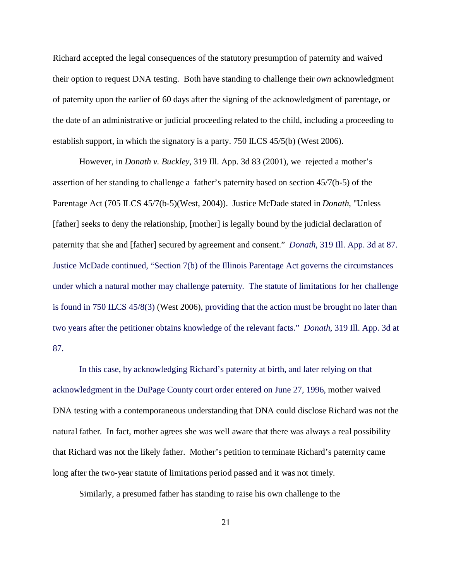Richard accepted the legal consequences of the statutory presumption of paternity and waived their option to request DNA testing. Both have standing to challenge their *own* acknowledgment of paternity upon the earlier of 60 days after the signing of the acknowledgment of parentage, or the date of an administrative or judicial proceeding related to the child, including a proceeding to establish support, in which the signatory is a party. 750 ILCS 45/5(b) (West 2006).

However, in *Donath v. Buckley*, 319 Ill. App. 3d 83 (2001), we rejected a mother's assertion of her standing to challenge a father's paternity based on section 45/7(b-5) of the Parentage Act (705 ILCS 45/7(b-5)(West, 2004)). Justice McDade stated in *Donath*, "Unless [father] seeks to deny the relationship, [mother] is legally bound by the judicial declaration of paternity that she and [father] secured by agreement and consent." *Donath*, 319 Ill. App. 3d at 87. Justice McDade continued, "Section 7(b) of the Illinois Parentage Act governs the circumstances under which a natural mother may challenge paternity. The statute of limitations for her challenge is found in 750 ILCS 45/8(3) (West 2006), providing that the action must be brought no later than two years after the petitioner obtains knowledge of the relevant facts." *Donath*, 319 Ill. App. 3d at 87.

In this case, by acknowledging Richard's paternity at birth, and later relying on that acknowledgment in the DuPage County court order entered on June 27, 1996, mother waived DNA testing with a contemporaneous understanding that DNA could disclose Richard was not the natural father. In fact, mother agrees she was well aware that there was always a real possibility that Richard was not the likely father. Mother's petition to terminate Richard's paternity came long after the two-year statute of limitations period passed and it was not timely.

Similarly, a presumed father has standing to raise his own challenge to the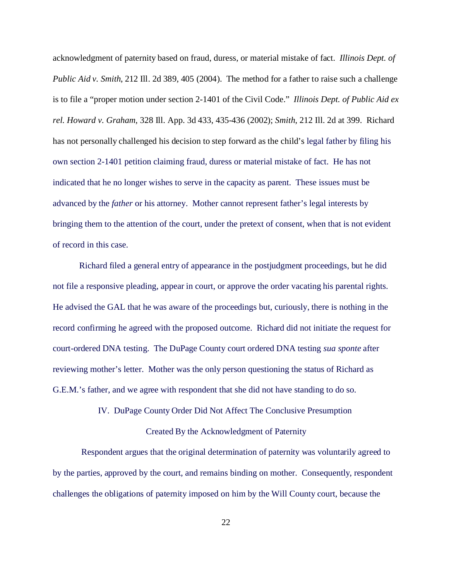acknowledgment of paternity based on fraud, duress, or material mistake of fact. *Illinois Dept. of Public Aid v. Smith*, 212 Ill. 2d 389, 405 (2004). The method for a father to raise such a challenge is to file a "proper motion under section 2-1401 of the Civil Code." *Illinois Dept. of Public Aid ex rel. Howard v. Graham*, 328 Ill. App. 3d 433, 435-436 (2002); *Smith*, 212 Ill. 2d at 399. Richard has not personally challenged his decision to step forward as the child's legal father by filing his own section 2-1401 petition claiming fraud, duress or material mistake of fact. He has not indicated that he no longer wishes to serve in the capacity as parent. These issues must be advanced by the *father* or his attorney. Mother cannot represent father's legal interests by bringing them to the attention of the court, under the pretext of consent, when that is not evident of record in this case.

Richard filed a general entry of appearance in the postjudgment proceedings, but he did not file a responsive pleading, appear in court, or approve the order vacating his parental rights. He advised the GAL that he was aware of the proceedings but, curiously, there is nothing in the record confirming he agreed with the proposed outcome. Richard did not initiate the request for court-ordered DNA testing. The DuPage County court ordered DNA testing *sua sponte* after reviewing mother's letter. Mother was the only person questioning the status of Richard as G.E.M.'s father, and we agree with respondent that she did not have standing to do so.

# IV. DuPage County Order Did Not Affect The Conclusive Presumption

## Created By the Acknowledgment of Paternity

 Respondent argues that the original determination of paternity was voluntarily agreed to by the parties, approved by the court, and remains binding on mother. Consequently, respondent challenges the obligations of paternity imposed on him by the Will County court, because the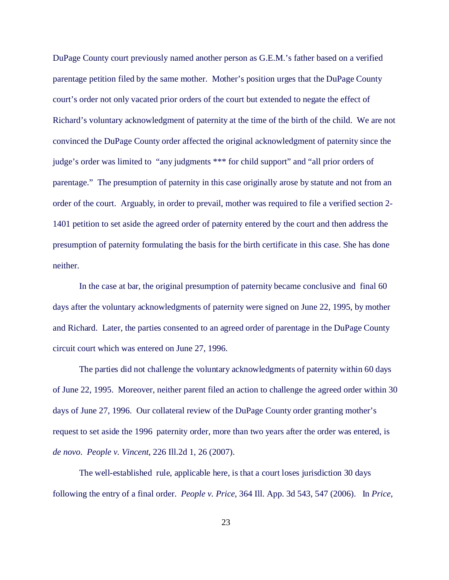DuPage County court previously named another person as G.E.M.'s father based on a verified parentage petition filed by the same mother. Mother's position urges that the DuPage County court's order not only vacated prior orders of the court but extended to negate the effect of Richard's voluntary acknowledgment of paternity at the time of the birth of the child. We are not convinced the DuPage County order affected the original acknowledgment of paternity since the judge's order was limited to "any judgments \*\*\* for child support" and "all prior orders of parentage." The presumption of paternity in this case originally arose by statute and not from an order of the court. Arguably, in order to prevail, mother was required to file a verified section 2- 1401 petition to set aside the agreed order of paternity entered by the court and then address the presumption of paternity formulating the basis for the birth certificate in this case. She has done neither.

In the case at bar, the original presumption of paternity became conclusive and final 60 days after the voluntary acknowledgments of paternity were signed on June 22, 1995, by mother and Richard. Later, the parties consented to an agreed order of parentage in the DuPage County circuit court which was entered on June 27, 1996.

The parties did not challenge the voluntary acknowledgments of paternity within 60 days of June 22, 1995. Moreover, neither parent filed an action to challenge the agreed order within 30 days of June 27, 1996. Our collateral review of the DuPage County order granting mother's request to set aside the 1996 paternity order, more than two years after the order was entered, is *de novo*. *People v. Vincent*, 226 Ill.2d 1, 26 (2007).

The well-established rule, applicable here, is that a court loses jurisdiction 30 days following the entry of a final order. *People v. Price*, 364 Ill. App. 3d 543, 547 (2006). In *Price*,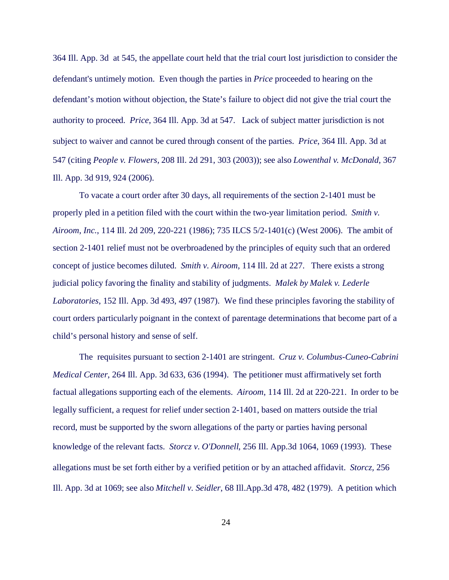364 Ill. App. 3d at 545, the appellate court held that the trial court lost jurisdiction to consider the defendant's untimely motion. Even though the parties in *Price* proceeded to hearing on the defendant's motion without objection, the State's failure to object did not give the trial court the authority to proceed. *Price*, 364 Ill. App. 3d at 547. Lack of subject matter jurisdiction is not subject to waiver and cannot be cured through consent of the parties. *Price*, 364 Ill. App. 3d at 547 (citing *People v. Flowers,* 208 Ill. 2d 291, 303 (2003)); see also *Lowenthal v. McDonald*, 367 Ill. App. 3d 919, 924 (2006).

To vacate a court order after 30 days, all requirements of the section 2-1401 must be properly pled in a petition filed with the court within the two-year limitation period. *Smith v. Airoom*, *Inc.*, 114 Ill. 2d 209, 220-221 (1986); 735 ILCS 5/2-1401(c) (West 2006). The ambit of section 2-1401 relief must not be overbroadened by the principles of equity such that an ordered concept of justice becomes diluted. *Smith v. Airoom*, 114 Ill. 2d at 227. There exists a strong judicial policy favoring the finality and stability of judgments. *Malek by Malek v. Lederle Laboratories*, 152 Ill. App. 3d 493, 497 (1987). We find these principles favoring the stability of court orders particularly poignant in the context of parentage determinations that become part of a child's personal history and sense of self.

The requisites pursuant to section 2-1401 are stringent. *Cruz v. Columbus-Cuneo-Cabrini Medical Center*, 264 Ill. App. 3d 633, 636 (1994). The petitioner must affirmatively set forth factual allegations supporting each of the elements. *Airoom*, 114 Ill. 2d at 220-221. In order to be legally sufficient, a request for relief under section 2-1401, based on matters outside the trial record, must be supported by the sworn allegations of the party or parties having personal knowledge of the relevant facts. *Storcz v. O'Donnell*, 256 Ill. App.3d 1064, 1069 (1993). These allegations must be set forth either by a verified petition or by an attached affidavit. *Storcz,* 256 Ill. App. 3d at 1069; see also *Mitchell v. Seidler*, 68 Ill.App.3d 478, 482 (1979). A petition which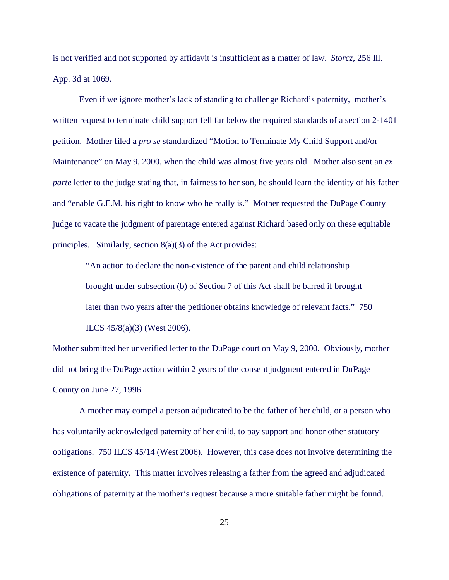is not verified and not supported by affidavit is insufficient as a matter of law. *Storcz*, 256 Ill. App. 3d at 1069.

Even if we ignore mother's lack of standing to challenge Richard's paternity, mother's written request to terminate child support fell far below the required standards of a section 2-1401 petition. Mother filed a *pro se* standardized "Motion to Terminate My Child Support and/or Maintenance" on May 9, 2000, when the child was almost five years old. Mother also sent an *ex parte* letter to the judge stating that, in fairness to her son, he should learn the identity of his father and "enable G.E.M. his right to know who he really is." Mother requested the DuPage County judge to vacate the judgment of parentage entered against Richard based only on these equitable principles. Similarly, section 8(a)(3) of the Act provides:

"An action to declare the non-existence of the parent and child relationship brought under subsection (b) of Section 7 of this Act shall be barred if brought later than two years after the petitioner obtains knowledge of relevant facts." 750 ILCS 45/8(a)(3) (West 2006).

Mother submitted her unverified letter to the DuPage court on May 9, 2000. Obviously, mother did not bring the DuPage action within 2 years of the consent judgment entered in DuPage County on June 27, 1996.

A mother may compel a person adjudicated to be the father of her child, or a person who has voluntarily acknowledged paternity of her child, to pay support and honor other statutory obligations. 750 ILCS 45/14 (West 2006). However, this case does not involve determining the existence of paternity. This matter involves releasing a father from the agreed and adjudicated obligations of paternity at the mother's request because a more suitable father might be found.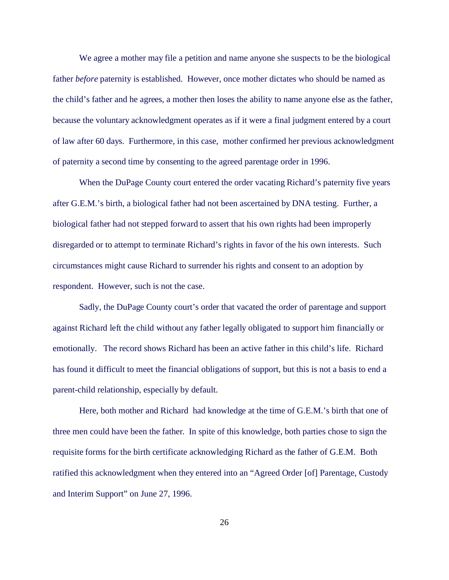We agree a mother may file a petition and name anyone she suspects to be the biological father *before* paternity is established. However, once mother dictates who should be named as the child's father and he agrees, a mother then loses the ability to name anyone else as the father, because the voluntary acknowledgment operates as if it were a final judgment entered by a court of law after 60 days. Furthermore, in this case, mother confirmed her previous acknowledgment of paternity a second time by consenting to the agreed parentage order in 1996.

When the DuPage County court entered the order vacating Richard's paternity five years after G.E.M.'s birth, a biological father had not been ascertained by DNA testing. Further, a biological father had not stepped forward to assert that his own rights had been improperly disregarded or to attempt to terminate Richard's rights in favor of the his own interests. Such circumstances might cause Richard to surrender his rights and consent to an adoption by respondent. However, such is not the case.

Sadly, the DuPage County court's order that vacated the order of parentage and support against Richard left the child without any father legally obligated to support him financially or emotionally. The record shows Richard has been an active father in this child's life. Richard has found it difficult to meet the financial obligations of support, but this is not a basis to end a parent-child relationship, especially by default.

Here, both mother and Richard had knowledge at the time of G.E.M.'s birth that one of three men could have been the father. In spite of this knowledge, both parties chose to sign the requisite forms for the birth certificate acknowledging Richard as the father of G.E.M. Both ratified this acknowledgment when they entered into an "Agreed Order [of] Parentage, Custody and Interim Support" on June 27, 1996.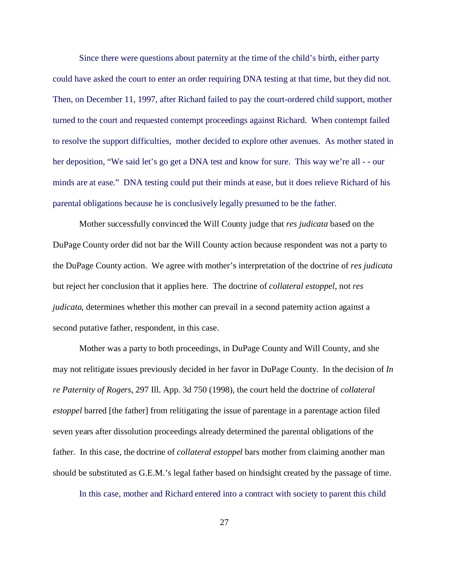Since there were questions about paternity at the time of the child's birth, either party could have asked the court to enter an order requiring DNA testing at that time, but they did not. Then, on December 11, 1997, after Richard failed to pay the court-ordered child support, mother turned to the court and requested contempt proceedings against Richard. When contempt failed to resolve the support difficulties, mother decided to explore other avenues. As mother stated in her deposition, "We said let's go get a DNA test and know for sure. This way we're all - - our minds are at ease." DNA testing could put their minds at ease, but it does relieve Richard of his parental obligations because he is conclusively legally presumed to be the father.

Mother successfully convinced the Will County judge that *res judicata* based on the DuPage County order did not bar the Will County action because respondent was not a party to the DuPage County action. We agree with mother's interpretation of the doctrine of *res judicata* but reject her conclusion that it applies here*.* The doctrine of *collateral estoppel*, not *res judicata*, determines whether this mother can prevail in a second paternity action against a second putative father, respondent, in this case.

Mother was a party to both proceedings, in DuPage County and Will County, and she may not relitigate issues previously decided in her favor in DuPage County. In the decision of *In re Paternity of Rogers*, 297 Ill. App. 3d 750 (1998), the court held the doctrine of *collateral estoppel* barred [the father] from relitigating the issue of parentage in a parentage action filed seven years after dissolution proceedings already determined the parental obligations of the father. In this case, the doctrine of *collateral estoppel* bars mother from claiming another man should be substituted as G.E.M.'s legal father based on hindsight created by the passage of time.

In this case, mother and Richard entered into a contract with society to parent this child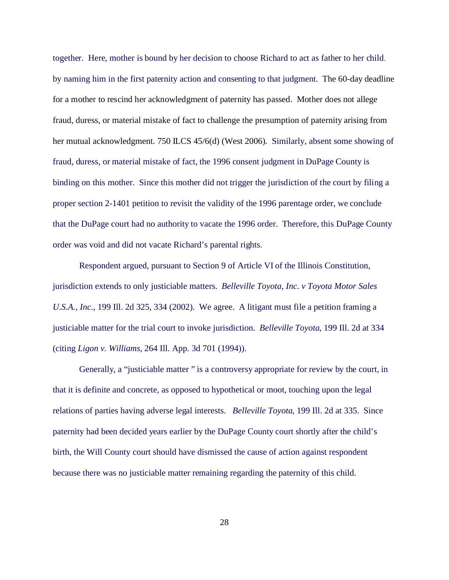together. Here, mother is bound by her decision to choose Richard to act as father to her child. by naming him in the first paternity action and consenting to that judgment. The 60-day deadline for a mother to rescind her acknowledgment of paternity has passed. Mother does not allege fraud, duress, or material mistake of fact to challenge the presumption of paternity arising from her mutual acknowledgment. 750 ILCS 45/6(d) (West 2006). Similarly, absent some showing of fraud, duress, or material mistake of fact, the 1996 consent judgment in DuPage County is binding on this mother. Since this mother did not trigger the jurisdiction of the court by filing a proper section 2-1401 petition to revisit the validity of the 1996 parentage order, we conclude that the DuPage court had no authority to vacate the 1996 order. Therefore, this DuPage County order was void and did not vacate Richard's parental rights.

Respondent argued, pursuant to Section 9 of Article VI of the Illinois Constitution, jurisdiction extends to only justiciable matters. *Belleville Toyota, Inc. v Toyota Motor Sales U.S.A., Inc.*, 199 Ill. 2d 325, 334 (2002). We agree. A litigant must file a petition framing a justiciable matter for the trial court to invoke jurisdiction. *Belleville Toyota*, 199 Ill. 2d at 334 (citing *Ligon v. Williams*, 264 Ill. App. 3d 701 (1994)).

Generally, a "justiciable matter " is a controversy appropriate for review by the court, in that it is definite and concrete, as opposed to hypothetical or moot, touching upon the legal relations of parties having adverse legal interests. *Belleville Toyota*, 199 Ill. 2d at 335. Since paternity had been decided years earlier by the DuPage County court shortly after the child's birth, the Will County court should have dismissed the cause of action against respondent because there was no justiciable matter remaining regarding the paternity of this child.